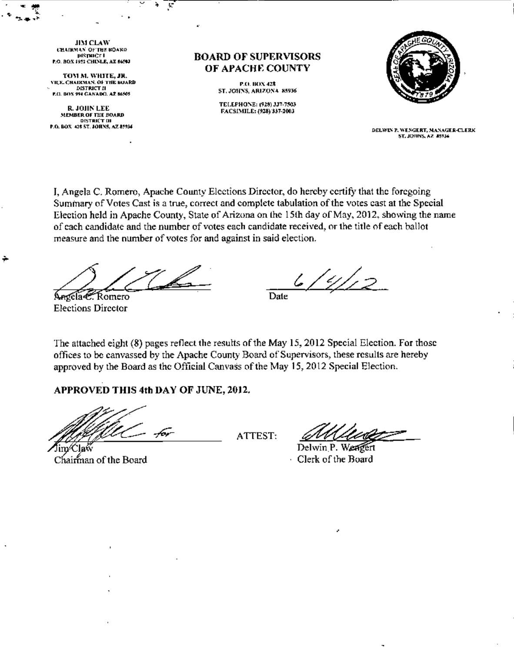**JIM CLAW CHAIRMAN OF THE BOARD DISTRICT I** P.O. BOX 1922 CHINLE, AZ 66593 y.

TOM M. WHITE, JR. VICE CHAIRMAN, OF THE BUARD **DISTRICT II** P.O. BOX 994 CANADO. AZ 86505

R. JOHN LEE MEMBER OF THE BOARD **DISTRICT UL** P.O. BOX 428 ST. JOHNS, AZ 85934 **BOARD OF SUPERVISORS** OF APACHE COUNTY

> P.O. BOX 428 ST. JOHNS, ARIZONA 85936

TELEPHONE: (928) 337-7503 FACSIMILE: (928) 337-2003



DELWIN P. WENGERT, MANAGER-CLERK ST. JOHNS, AZ 45934

I, Angela C. Romero, Apache County Elections Director, do hereby certify that the foregoing Summary of Votes Cast is a true, correct and complete tabulation of the votes cast at the Special Election held in Apache County, State of Arizona on the 15th day of May, 2012, showing the name of each candidate and the number of votes each candidate received, or the title of each ballot measure and the number of votes for and against in said election.

Angela C. Romero **Elections Director** 

 $\sim$ 

 $6/4/12$ 

**Date** 

The attached eight (8) pages reflect the results of the May 15, 2012 Special Election. For those offices to be canvassed by the Apache County Board of Supervisors, these results are hereby approved by the Board as the Official Canvass of the May 15, 2012 Special Election.

APPROVED THIS 4th DAY OF JUNE, 2012.

℃laŵ

Chairman of the Board

ATTEST:

Delwin P. Weagert Clerk of the Board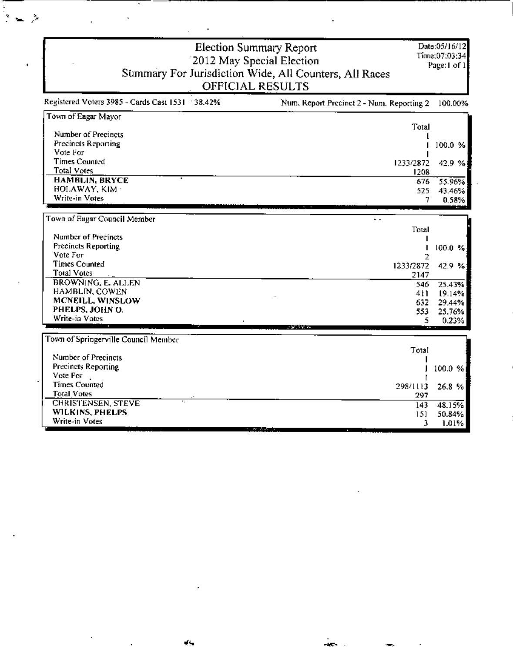|                                                   | <b>Election Summary Report</b><br>2012 May Special Election<br>Summary For Jurisdiction Wide, All Counters, All Races | Date:05/16/12<br>Time:07:03:34<br>Page:1 of 1 |
|---------------------------------------------------|-----------------------------------------------------------------------------------------------------------------------|-----------------------------------------------|
|                                                   | OFFICIAL RESULTS                                                                                                      |                                               |
| Registered Voters 3985 - Cards Cast 1531 : 38.42% | Num. Report Precinct 2 - Num. Reporting 2                                                                             | 100.00%                                       |
| Town of Eagar Mayor                               |                                                                                                                       |                                               |
| Number of Precincts                               | Total                                                                                                                 |                                               |
| Precincts Reporting                               |                                                                                                                       | 100.0 %                                       |
| Vote For                                          |                                                                                                                       |                                               |
| <b>Times Counted</b>                              | 1233/2872                                                                                                             | 42.9%                                         |
| <b>Total Votes</b>                                | 1208                                                                                                                  |                                               |
| <b>HAMBLIN, BRYCE</b>                             | 676                                                                                                                   | 55.96%                                        |
| HOLAWAY, KIM                                      | 525                                                                                                                   | 43.46%                                        |
| Write-in Votes                                    | 7                                                                                                                     | 0.58%                                         |
|                                                   |                                                                                                                       |                                               |
| Town of Eagar Council Member                      | $\overline{a}$                                                                                                        |                                               |
| Number of Precincts                               | Total                                                                                                                 |                                               |
| Precincts Reporting                               |                                                                                                                       | 100.0 %                                       |
| Vote For                                          |                                                                                                                       |                                               |
| <b>Times Counted</b>                              | 1233/2872                                                                                                             | 42.9 %                                        |
| Total Votes                                       | 2147                                                                                                                  |                                               |
| BROWNING, E. ALLEN                                | 546                                                                                                                   | 25.43%                                        |
| HAMBLIN, COWEN                                    | 4 L L                                                                                                                 | 19.14%                                        |
| MCNEILL, WINSLOW                                  | 632                                                                                                                   | 29.44%                                        |
| PHELPS, JOHN O.                                   | 553                                                                                                                   | 25.76%                                        |
| Write-in Votes                                    | 5.                                                                                                                    | 0.23%                                         |
| Town of Springerville Council Member              |                                                                                                                       |                                               |
|                                                   | Total                                                                                                                 |                                               |
| Number of Precincts                               |                                                                                                                       |                                               |
| Precincts Reporting                               |                                                                                                                       | 100.0 %                                       |
| Vote For                                          |                                                                                                                       |                                               |
| <b>Times Counted</b>                              | 298/1113                                                                                                              | 26.8%                                         |
| <b>Total Votes</b>                                | 297                                                                                                                   |                                               |
| <b>CHRISTENSEN, STEVE</b>                         | 143                                                                                                                   | 48.15%                                        |
| WILKINS, PHELPS                                   | 151                                                                                                                   | 50.84%                                        |
| Write-in Votes                                    | 3                                                                                                                     | 1.01%                                         |

 $\frac{1}{2}$ 

 $\overline{a}$ 

 $\overline{\phantom{a}}$ 

ä,

 $\overline{\phantom{a}}$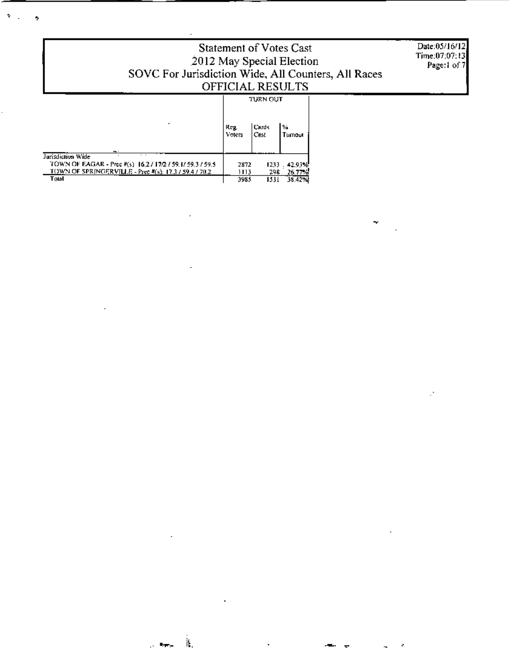| Statement of Votes Cast<br>2012 May Special Election<br>SOVC For Jurisdiction Wide, All Counters, All Races<br><b>OFFICIAL RESULTS</b>                  | Date:05/16/12<br>Time:07:07:13<br>Page:1 of 7 |                            |                                   |  |  |
|---------------------------------------------------------------------------------------------------------------------------------------------------------|-----------------------------------------------|----------------------------|-----------------------------------|--|--|
| <b>.</b>                                                                                                                                                | Krg.<br>Voters                                | turn out<br> Cards<br>Cast | l‰<br>Turnout                     |  |  |
| Jurisdiction Wide<br>TOWN OF EAGAR - Prec #(s) 16.2 / 17/2 / 59.1/ 59.3 / 59.5<br><b>TOWN OF SPRINGERVILLE - Prec #(s): 17.3 / 59.4 / 70.2</b><br>Total | 2872<br>1113<br>3985                          | 298.<br>1531               | 1233 . 42.93%<br>26.77%<br>38.42% |  |  |

 $\sim 10^{11}$  km  $^{-1}$ 

 $\sim$   $\sim$ 

l,

 $\tilde{\mathcal{R}}_{\rm{max}}$ 

ł,

 $\overline{\mathbf{z}}$ 

 $\mathcal{A}$ 

 $\blacksquare$ 

 $\sim$ 

 $\alpha$ 

÷

 $\mathbb{R}^2$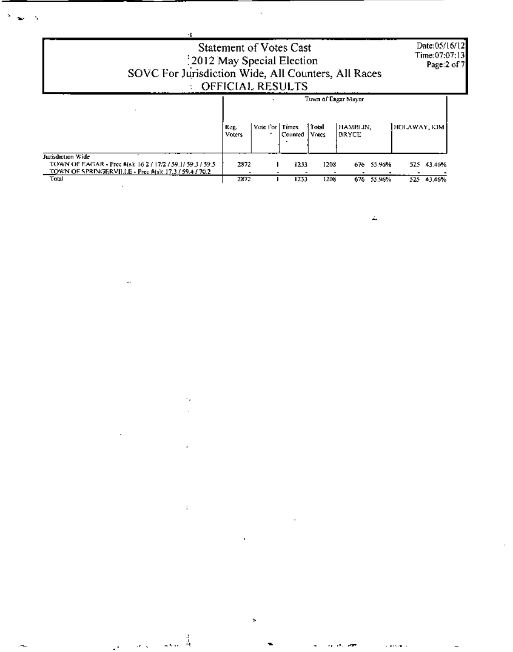| 2012 May Special Election<br>SOVC For Jurisdiction Wide, All Counters, All Races                                                                | <b>Statement of Votes Cast</b><br>OFFICIAL RESULTS |                  |         |                     |                          |            |              | Date:05/16/12<br>Time:07:07:13<br>Page:2 of 7 |
|-------------------------------------------------------------------------------------------------------------------------------------------------|----------------------------------------------------|------------------|---------|---------------------|--------------------------|------------|--------------|-----------------------------------------------|
|                                                                                                                                                 |                                                    |                  |         | Town of Eagar Mayor |                          |            |              |                                               |
|                                                                                                                                                 | Reg.<br>Voters                                     | Vote For   Times | Counted | Taal<br>Votes       | HAMBLIN,<br><b>DRYCE</b> |            | HOLAWAY, KIM |                                               |
| Jurisdiction Wide<br>TOWN OF EAGAR - Prec #(s): 16.2 / 17/2 / 59.1/ 59.3 / 59.5<br><b>TOWN OF SPRINGERVILLE - Prec #(s): 17.3 / 59.4 / 70.2</b> | 2872                                               |                  | 1233    | 1208                | 676                      | 55.96%     | 525          | 43.46%                                        |
| Total                                                                                                                                           | 2872                                               |                  | 1233    | 1208                |                          | 676 55.96% |              | \$25 43,46%                                   |

 $\mathbf{S}^{(1)}$ ಿ ಸಮಾಜದ ಸಂಘಟನೆ ಮಾಡಿದ್ದಾರೆ.<br>ಇಲ್ಲಿ ಸಂಘಟನೆ ಮಾಡಿದ್ದಾರೆ.<br>ಇಲ್ಲಿ ಸಂಘಟನೆ ಮಾಡಿದ್ದಾರೆ. ಇಲ್ಲಿ ಸಂಘಟನೆ ಮಾಡಿದ್ದಾರೆ. ಅವರ ಸಂಘಟನೆ ಮಾಡಿದ್ದಾರೆ. ಅವರ ಸಂಘಟನೆ ಮಾಡಿದ್ದಾರೆ. ಇಲ್ಲಿ ಸಂಘಟನೆ ಮ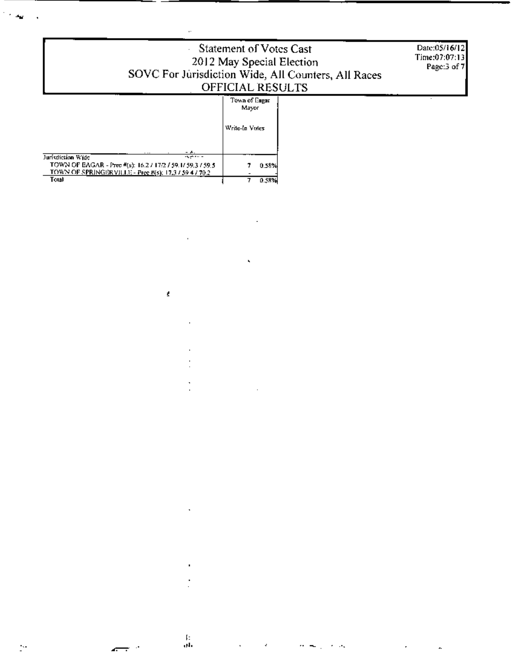| Statement of Votes Cast<br>2012 May Special Election<br>SOVC For Jurisdiction Wide, All Counters, All Races<br>OFFICIAL RESULTS                                                       | Date:05/16/12<br>Time:07:07:13<br>Page: $3$ of $7$ |  |  |
|---------------------------------------------------------------------------------------------------------------------------------------------------------------------------------------|----------------------------------------------------|--|--|
|                                                                                                                                                                                       | Town of Esgar<br>Mayor<br>Write-In Votes           |  |  |
| Jurisdiction Wide<br><b>Second Contract Contract</b><br>TOWN OF EAGAR - Prec #(s): 16.2 / 17/2 / 59.1/ 59.3 / 59.5<br>TOWN OF SPRINGER VILLE - Pree #(s): 17.3 / 59 4 / 70.2<br>Total | 0.58%<br>0.58%                                     |  |  |

í,

 $\bar{\nu}$ 

ï

ï

l,

Î, ä,

 $\frac{11}{64}$ 

Ÿ,

ı.

ł

 $\sim$   $\frac{1}{2}$ 

k.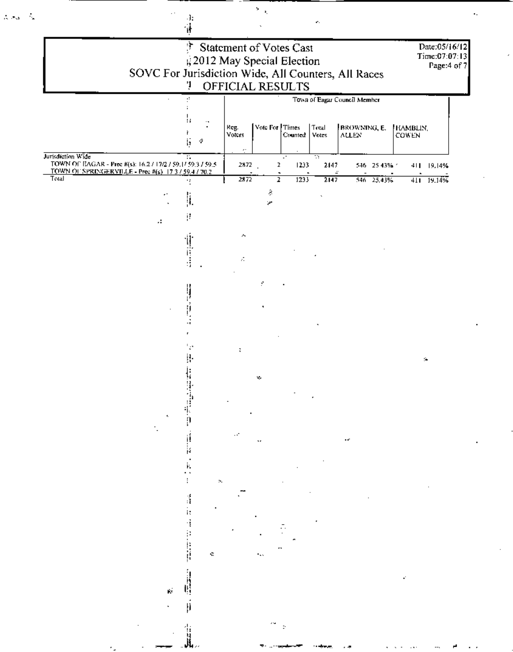| Ť<br>Statement of Votes Cast<br>, 2012 May Special Election<br>SOVC For Jurisdiction Wide, All Counters, All Races<br>OFFICIAL RESULTS<br>ņ<br>Town of Eagur Council Member |                                      |                              |                                   |                                 |                |                              |              |                    | Date:05/16/12<br>Time:07:07:13<br>Page:4 of 7 |  |  |
|-----------------------------------------------------------------------------------------------------------------------------------------------------------------------------|--------------------------------------|------------------------------|-----------------------------------|---------------------------------|----------------|------------------------------|--------------|--------------------|-----------------------------------------------|--|--|
|                                                                                                                                                                             | а<br>14<br>$\cdot$ ,<br>r<br>÷<br>ļ, | Keg.<br>Voters<br>$\epsilon$ | Vote For Times                    | Counted                         | Total<br>Votes | BROWNING, E.<br><b>ALLEN</b> |              | FIAMBLIN,<br>COWEN |                                               |  |  |
| Jurisdiction Wide<br>TOWN OF EAGAR - Prec #(s): 16.2 / 17/2 / 59.1/ 59.3 / 59.5<br>TOWN OF SPRINGERVILLE - Prec #(s) 17.3 / 59.4 / 70.2                                     | π                                    | 2872                         | 2<br>$\tilde{\phantom{a}}$        | $\mathcal{L}^{\bullet}$<br>1233 | w<br>2147      | ÷                            | 546 25 43% 1 | 411 19:14%         |                                               |  |  |
| Total<br>А                                                                                                                                                                  | 15<br>$\left\vert \right\vert$<br>Ħ  | 2872                         | $\overline{\mathbf{r}}$<br>ş<br>× | 1233                            | 2147           |                              | 546 25,43%   | 411 19.14%         |                                               |  |  |
|                                                                                                                                                                             |                                      | ۸<br>А                       |                                   |                                 |                |                              |              |                    |                                               |  |  |
|                                                                                                                                                                             | ļ                                    |                              | Ŷ.                                |                                 |                |                              |              |                    |                                               |  |  |
|                                                                                                                                                                             | ۰,<br>ļ.<br>ļ.<br>9                  | ÷                            | v,                                |                                 |                |                              |              | $\sim$             |                                               |  |  |
|                                                                                                                                                                             |                                      |                              |                                   |                                 |                |                              |              |                    |                                               |  |  |
|                                                                                                                                                                             | ×.<br>Á<br>ij,<br>÷.                 |                              |                                   |                                 |                |                              |              |                    |                                               |  |  |
|                                                                                                                                                                             |                                      |                              |                                   |                                 |                |                              |              |                    |                                               |  |  |

 $\frac{\sum_{i=1}^{n} \alpha_i}{\sum_{i=1}^{n} \alpha_i}$ 

Ļ,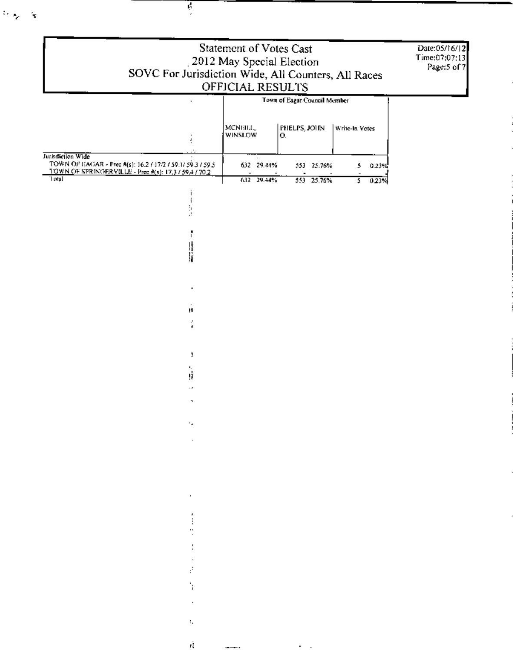|                                                                                                                               |                                                                                                                     | Statement of Votes Cast    |                    |  |                                    | Date:05/16/12<br>Time:07:07:13 |  |
|-------------------------------------------------------------------------------------------------------------------------------|---------------------------------------------------------------------------------------------------------------------|----------------------------|--------------------|--|------------------------------------|--------------------------------|--|
| SOVC For Jurisdiction Wide, All Counters, All Races                                                                           |                                                                                                                     | 2012 May Special Election  |                    |  |                                    | Page:5 of 7                    |  |
| OFFICIAL RESULTS<br>Town of Eagar Council Member                                                                              |                                                                                                                     |                            |                    |  |                                    |                                |  |
|                                                                                                                               |                                                                                                                     |                            |                    |  |                                    |                                |  |
|                                                                                                                               |                                                                                                                     | MCNEILL,<br><b>WINSLOW</b> | PHELPS, JOHN<br>Ю. |  | Write-In Votes                     |                                |  |
| Jurisdiction Wide                                                                                                             |                                                                                                                     |                            |                    |  |                                    |                                |  |
| TOWN OF EAGAR - Prec #(s): 16.2 / 17/2 / 59.1/ 59.3 / 59.5<br>TOWN OF SPRINGER VILLE - Prec #(s): 17.3 / 59.4 / 70.2<br>Total |                                                                                                                     | 632 29.44%                 | 553 25.76%         |  | $5 -$<br>0.23%                     |                                |  |
|                                                                                                                               |                                                                                                                     | 632 29.44%                 | 553 25.76%         |  | $\overline{\mathfrak{s}}$<br>0.23% |                                |  |
|                                                                                                                               |                                                                                                                     |                            |                    |  |                                    |                                |  |
|                                                                                                                               |                                                                                                                     |                            |                    |  |                                    |                                |  |
|                                                                                                                               | li<br>M                                                                                                             |                            |                    |  |                                    |                                |  |
|                                                                                                                               |                                                                                                                     |                            |                    |  |                                    |                                |  |
|                                                                                                                               |                                                                                                                     |                            |                    |  |                                    |                                |  |
|                                                                                                                               | Ħ                                                                                                                   |                            |                    |  |                                    |                                |  |
|                                                                                                                               | P                                                                                                                   |                            |                    |  |                                    |                                |  |
|                                                                                                                               |                                                                                                                     |                            |                    |  |                                    |                                |  |
|                                                                                                                               | ú                                                                                                                   |                            |                    |  |                                    |                                |  |
|                                                                                                                               | $\cdot$ .                                                                                                           |                            |                    |  |                                    |                                |  |
|                                                                                                                               | $\sigma_{\rm{max}}=0.1$                                                                                             |                            |                    |  |                                    |                                |  |
|                                                                                                                               | and State Control of<br>$\mathcal{L}^{\mathcal{L}}$ and $\mathcal{L}^{\mathcal{L}}$ and $\mathcal{L}^{\mathcal{L}}$ |                            |                    |  |                                    |                                |  |
|                                                                                                                               |                                                                                                                     |                            |                    |  |                                    |                                |  |
|                                                                                                                               |                                                                                                                     |                            |                    |  |                                    |                                |  |
|                                                                                                                               | and the first state.                                                                                                |                            |                    |  |                                    |                                |  |
|                                                                                                                               | $\ddot{z}$ and $\ddot{z}$                                                                                           |                            |                    |  |                                    |                                |  |
|                                                                                                                               |                                                                                                                     |                            |                    |  |                                    |                                |  |
|                                                                                                                               | ÷.<br>$\mathcal{L}_{\text{max}}$ and $\mathcal{L}_{\text{max}}$                                                     |                            |                    |  |                                    |                                |  |
|                                                                                                                               | Ŧ.                                                                                                                  |                            |                    |  |                                    |                                |  |
|                                                                                                                               | <b>William</b>                                                                                                      |                            |                    |  |                                    |                                |  |
|                                                                                                                               | and the control<br>$\mathbb{Q}^{\times}$                                                                            |                            |                    |  |                                    |                                |  |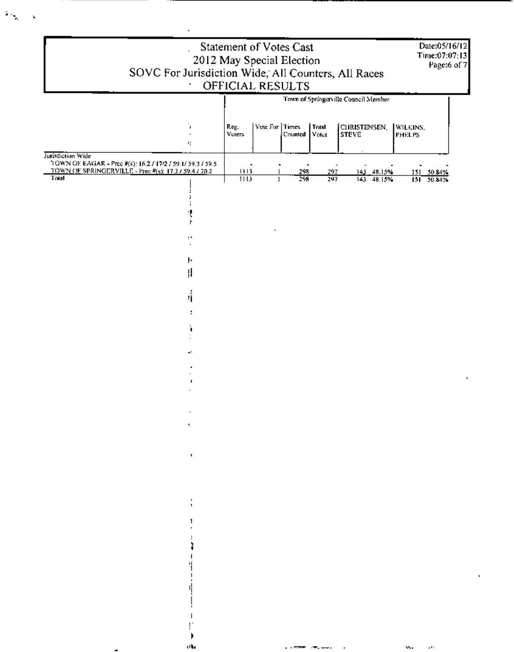|                   | Statement of Votes Cast<br>Date:05/16/12<br>Time:07:07:13<br>2012 May Special Election<br>Page:6 of 7<br>SOVC For Jurisdiction Wide, All Counters, All Races<br>OFFICIAL RESULTS |                                      |                |         |                                              |                              |                       |  |  |
|-------------------|----------------------------------------------------------------------------------------------------------------------------------------------------------------------------------|--------------------------------------|----------------|---------|----------------------------------------------|------------------------------|-----------------------|--|--|
|                   |                                                                                                                                                                                  | Town of Springerville Council Member |                |         |                                              |                              |                       |  |  |
|                   |                                                                                                                                                                                  |                                      | Vote For Times |         |                                              |                              |                       |  |  |
|                   | Ù.                                                                                                                                                                               | Reg.<br><b>Voters</b>                |                | Counted | Total<br>Votes                               | CHRISTENSEN,<br><b>STEVE</b> | WILKINS,<br>PHELPS    |  |  |
| Jurisdiction Wide | ч,                                                                                                                                                                               |                                      |                |         |                                              |                              |                       |  |  |
|                   | TOWN OF EAGAR - Prec #(s): 16.2 / 17/2 / 59.1/ 59.3 / 59.5<br>TOWN OF SPRINGERVILLE - Prec #(s): 17.3 / 59.4 / 70.2                                                              | ٠<br>1113                            |                | 298     | 297                                          | 143 48.15%                   | 151 50.84%            |  |  |
| Total             |                                                                                                                                                                                  | 113                                  | $\mathbf{I}$   | 298     | 297                                          | 143 48.15%                   | $151 - 50.84%$        |  |  |
|                   |                                                                                                                                                                                  |                                      |                |         |                                              |                              |                       |  |  |
|                   |                                                                                                                                                                                  |                                      |                |         |                                              |                              |                       |  |  |
|                   |                                                                                                                                                                                  |                                      |                |         |                                              |                              |                       |  |  |
|                   |                                                                                                                                                                                  |                                      |                |         |                                              |                              |                       |  |  |
|                   | Ł                                                                                                                                                                                |                                      |                |         |                                              |                              |                       |  |  |
|                   | Ħ                                                                                                                                                                                |                                      |                |         |                                              |                              |                       |  |  |
|                   | Ħ.                                                                                                                                                                               |                                      |                |         |                                              |                              |                       |  |  |
|                   |                                                                                                                                                                                  |                                      |                |         |                                              |                              |                       |  |  |
|                   |                                                                                                                                                                                  |                                      |                |         |                                              |                              |                       |  |  |
|                   |                                                                                                                                                                                  |                                      |                |         |                                              |                              |                       |  |  |
|                   |                                                                                                                                                                                  |                                      |                |         |                                              |                              |                       |  |  |
|                   |                                                                                                                                                                                  |                                      |                |         |                                              |                              |                       |  |  |
|                   |                                                                                                                                                                                  |                                      |                |         |                                              |                              |                       |  |  |
|                   |                                                                                                                                                                                  |                                      |                |         |                                              |                              |                       |  |  |
|                   | ۰.                                                                                                                                                                               |                                      |                |         |                                              |                              |                       |  |  |
|                   |                                                                                                                                                                                  |                                      |                |         |                                              |                              |                       |  |  |
|                   | п.                                                                                                                                                                               |                                      |                |         |                                              |                              |                       |  |  |
|                   |                                                                                                                                                                                  |                                      |                |         |                                              |                              |                       |  |  |
|                   |                                                                                                                                                                                  |                                      |                |         |                                              |                              |                       |  |  |
|                   |                                                                                                                                                                                  |                                      |                |         |                                              |                              |                       |  |  |
|                   |                                                                                                                                                                                  |                                      |                |         |                                              |                              |                       |  |  |
|                   |                                                                                                                                                                                  |                                      |                |         |                                              |                              |                       |  |  |
|                   |                                                                                                                                                                                  |                                      |                |         |                                              |                              |                       |  |  |
|                   |                                                                                                                                                                                  |                                      |                |         |                                              |                              |                       |  |  |
|                   |                                                                                                                                                                                  |                                      |                |         |                                              |                              |                       |  |  |
|                   |                                                                                                                                                                                  |                                      |                |         |                                              |                              |                       |  |  |
|                   |                                                                                                                                                                                  |                                      |                |         |                                              |                              |                       |  |  |
|                   |                                                                                                                                                                                  |                                      |                |         |                                              |                              |                       |  |  |
|                   | √h,                                                                                                                                                                              |                                      |                |         | a <del>a Maria</del> (1980) <del>a L</del> a |                              | ν.,<br>$\mathbf{r}$ . |  |  |